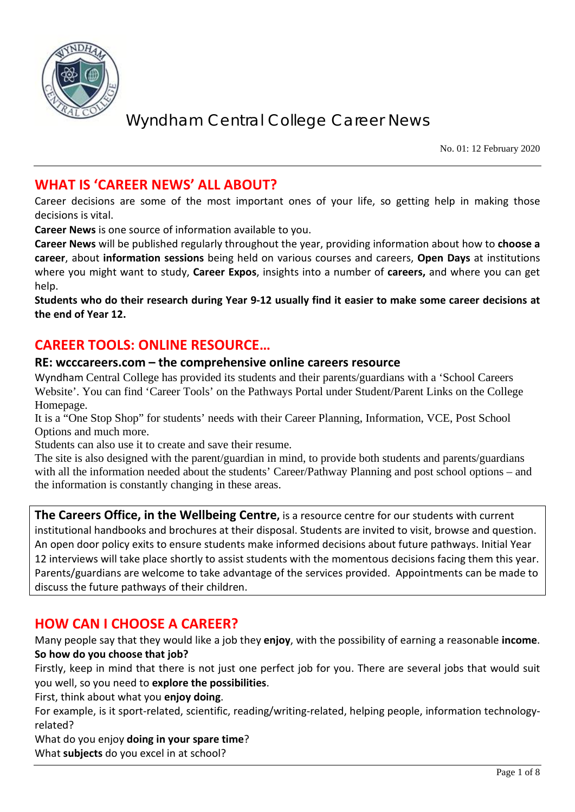

No. 01: 12 February 2020

## **WHAT IS 'CAREER NEWS' ALL ABOUT?**

Career decisions are some of the most important ones of your life, so getting help in making those decisions is vital.

**Career News** is one source of information available to you.

**Career News** will be published regularly throughout the year, providing information about how to **choose a career**, about **information sessions** being held on various courses and careers, **Open Days** at institutions where you might want to study, **Career Expos**, insights into a number of **careers,** and where you can get help.

**Students who do their research during Year 9-12 usually find it easier to make some career decisions at the end of Year 12.**

## **CAREER TOOLS: ONLINE RESOURCE…**

#### **RE: wcccareers.com – the comprehensive online careers resource**

Wyndham Central College has provided its students and their parents/guardians with a 'School Careers Website'. You can find 'Career Tools' on the Pathways Portal under Student/Parent Links on the College Homepage.

It is a "One Stop Shop" for students' needs with their Career Planning, Information, VCE, Post School Options and much more.

Students can also use it to create and save their resume.

The site is also designed with the parent/guardian in mind, to provide both students and parents/guardians with all the information needed about the students' Career/Pathway Planning and post school options – and the information is constantly changing in these areas.

**The Careers Office, in the Wellbeing Centre,** is a resource centre for our students with current institutional handbooks and brochures at their disposal. Students are invited to visit, browse and question. An open door policy exits to ensure students make informed decisions about future pathways. Initial Year 12 interviews will take place shortly to assist students with the momentous decisions facing them this year. Parents/guardians are welcome to take advantage of the services provided. Appointments can be made to discuss the future pathways of their children.

## **HOW CAN I CHOOSE A CAREER?**

Many people say that they would like a job they **enjoy**, with the possibility of earning a reasonable **income**. **So how do you choose that job?**

Firstly, keep in mind that there is not just one perfect job for you. There are several jobs that would suit you well, so you need to **explore the possibilities**.

First, think about what you **enjoy doing**.

For example, is it sport-related, scientific, reading/writing-related, helping people, information technologyrelated?

What do you enjoy **doing in your spare time**?

What **subjects** do you excel in at school?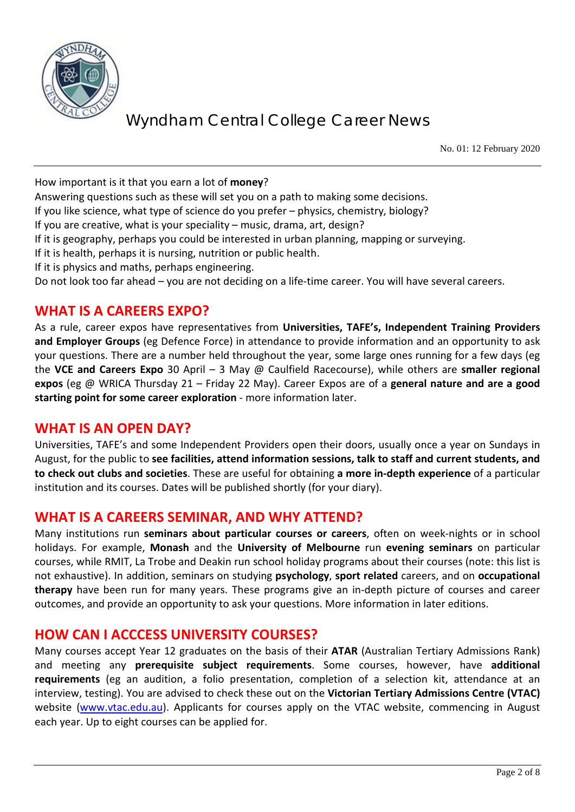

No. 01: 12 February 2020

How important is it that you earn a lot of **money**?

Answering questions such as these will set you on a path to making some decisions.

If you like science, what type of science do you prefer – physics, chemistry, biology?

If you are creative, what is your speciality – music, drama, art, design?

If it is geography, perhaps you could be interested in urban planning, mapping or surveying.

If it is health, perhaps it is nursing, nutrition or public health.

If it is physics and maths, perhaps engineering.

Do not look too far ahead – you are not deciding on a life-time career. You will have several careers.

## **WHAT IS A CAREERS EXPO?**

As a rule, career expos have representatives from **Universities, TAFE's, Independent Training Providers and Employer Groups** (eg Defence Force) in attendance to provide information and an opportunity to ask your questions. There are a number held throughout the year, some large ones running for a few days (eg the **VCE and Careers Expo** 30 April – 3 May @ Caulfield Racecourse), while others are **smaller regional expos** (eg @ WRICA Thursday 21 – Friday 22 May). Career Expos are of a **general nature and are a good starting point for some career exploration** - more information later.

#### **WHAT IS AN OPEN DAY?**

Universities, TAFE's and some Independent Providers open their doors, usually once a year on Sundays in August, for the public to **see facilities, attend information sessions, talk to staff and current students, and to check out clubs and societies**. These are useful for obtaining **a more in-depth experience** of a particular institution and its courses. Dates will be published shortly (for your diary).

#### **WHAT IS A CAREERS SEMINAR, AND WHY ATTEND?**

Many institutions run **seminars about particular courses or careers**, often on week-nights or in school holidays. For example, **Monash** and the **University of Melbourne** run **evening seminars** on particular courses, while RMIT, La Trobe and Deakin run school holiday programs about their courses (note: this list is not exhaustive). In addition, seminars on studying **psychology**, **sport related** careers, and on **occupational therapy** have been run for many years. These programs give an in-depth picture of courses and career outcomes, and provide an opportunity to ask your questions. More information in later editions.

#### **HOW CAN I ACCCESS UNIVERSITY COURSES?**

Many courses accept Year 12 graduates on the basis of their **ATAR** (Australian Tertiary Admissions Rank) and meeting any **prerequisite subject requirements**. Some courses, however, have **additional requirements** (eg an audition, a folio presentation, completion of a selection kit, attendance at an interview, testing). You are advised to check these out on the **Victorian Tertiary Admissions Centre (VTAC)** website [\(www.vtac.edu.au\)](http://www.vtac.edu.au/). Applicants for courses apply on the VTAC website, commencing in August each year. Up to eight courses can be applied for.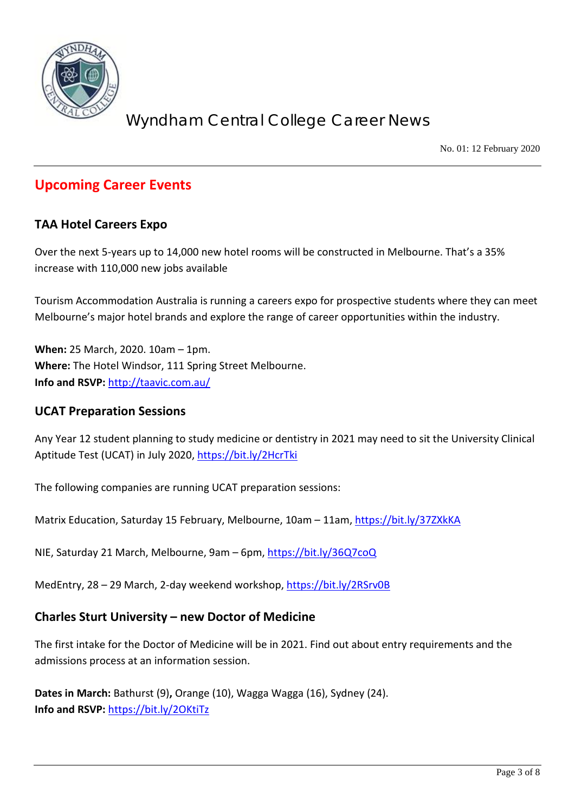

No. 01: 12 February 2020

## **Upcoming Career Events**

#### **TAA Hotel Careers Expo**

Over the next 5-years up to 14,000 new hotel rooms will be constructed in Melbourne. That's a 35% increase with 110,000 new jobs available

Tourism Accommodation Australia is running a careers expo for prospective students where they can meet Melbourne's major hotel brands and explore the range of career opportunities within the industry.

**When:** 25 March, 2020. 10am – 1pm. **Where:** The Hotel Windsor, 111 Spring Street Melbourne. **Info and RSVP:** <http://taavic.com.au/>

#### **UCAT Preparation Sessions**

Any Year 12 student planning to study medicine or dentistry in 2021 may need to sit the University Clinical Aptitude Test (UCAT) in July 2020,<https://bit.ly/2HcrTki>

The following companies are running UCAT preparation sessions:

Matrix Education, Saturday 15 February, Melbourne, 10am - 11am[, https://bit.ly/37ZXkKA](https://bit.ly/37ZXkKA)

NIE, Saturday 21 March, Melbourne, 9am – 6pm,<https://bit.ly/36Q7coQ>

MedEntry, 28 – 29 March, 2-day weekend workshop,<https://bit.ly/2RSrv0B>

#### **Charles Sturt University – new Doctor of Medicine**

The first intake for the Doctor of Medicine will be in 2021. Find out about entry requirements and the admissions process at an information session.

**Dates in March:** Bathurst (9)**,** Orange (10), Wagga Wagga (16), Sydney (24). **Info and RSVP:** <https://bit.ly/2OKtiTz>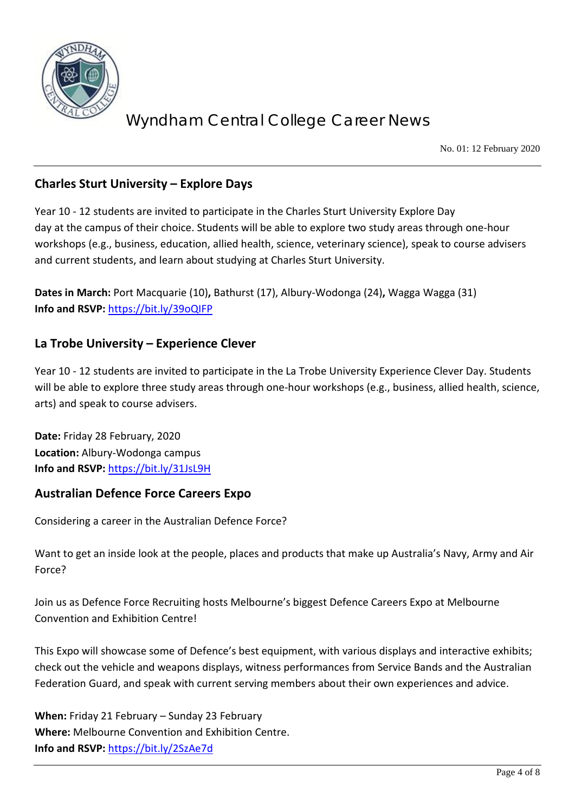

No. 01: 12 February 2020

#### **Charles Sturt University – Explore Days**

Year 10 - 12 students are invited to participate in the Charles Sturt University Explore Day day at the campus of their choice. Students will be able to explore two study areas through one-hour workshops (e.g., business, education, allied health, science, veterinary science), speak to course advisers and current students, and learn about studying at Charles Sturt University.

**Dates in March:** Port Macquarie (10)**,** Bathurst (17), Albury-Wodonga (24)**,** Wagga Wagga (31) **Info and RSVP:** <https://bit.ly/39oQIFP>

#### **La Trobe University – Experience Clever**

Year 10 - 12 students are invited to participate in the La Trobe University Experience Clever Day. Students will be able to explore three study areas through one-hour workshops (e.g., business, allied health, science, arts) and speak to course advisers.

**Date:** Friday 28 February, 2020 **Location:** Albury-Wodonga campus **Info and RSVP:** <https://bit.ly/31JsL9H>

#### **Australian Defence Force Careers Expo**

Considering a career in the Australian Defence Force?

Want to get an inside look at the people, places and products that make up Australia's Navy, Army and Air Force?

Join us as Defence Force Recruiting hosts Melbourne's biggest Defence Careers Expo at Melbourne Convention and Exhibition Centre!

This Expo will showcase some of Defence's best equipment, with various displays and interactive exhibits; check out the vehicle and weapons displays, witness performances from Service Bands and the Australian Federation Guard, and speak with current serving members about their own experiences and advice.

**When:** Friday 21 February – Sunday 23 February **Where:** Melbourne Convention and Exhibition Centre. **Info and RSVP:** <https://bit.ly/2SzAe7d>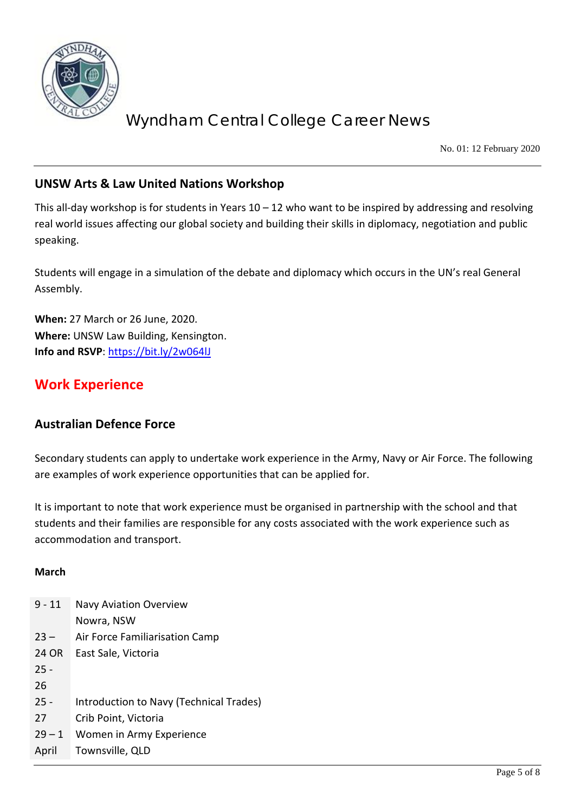

No. 01: 12 February 2020

#### **UNSW Arts & Law United Nations Workshop**

This all-day workshop is for students in Years 10 – 12 who want to be inspired by addressing and resolving real world issues affecting our global society and building their skills in diplomacy, negotiation and public speaking.

Students will engage in a simulation of the debate and diplomacy which occurs in the UN's real General Assembly.

**When:** 27 March or 26 June, 2020. **Where:** UNSW Law Building, Kensington. **Info and RSVP**:<https://bit.ly/2w064lJ>

## **Work Experience**

#### **Australian Defence Force**

Secondary students can apply to undertake work experience in the Army, Navy or Air Force. The following are examples of work experience opportunities that can be applied for.

It is important to note that work experience must be organised in partnership with the school and that students and their families are responsible for any costs associated with the work experience such as accommodation and transport.

#### **March**

| $9 - 11$ | <b>Navy Aviation Overview</b>           |
|----------|-----------------------------------------|
|          | Nowra, NSW                              |
| $23 -$   | Air Force Familiarisation Camp          |
| 24 OR    | East Sale, Victoria                     |
| $25 -$   |                                         |
| 26       |                                         |
| $25 -$   | Introduction to Navy (Technical Trades) |
| 27       | Crib Point, Victoria                    |
| $29 - 1$ | Women in Army Experience                |
| April    | Townsville, QLD                         |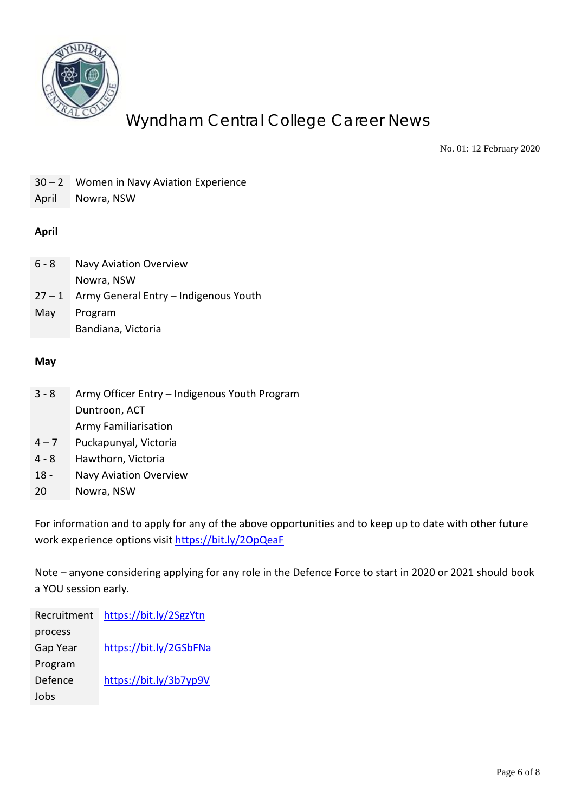

No. 01: 12 February 2020

| $30 - 2$<br>April | Women in Navy Aviation Experience<br>Nowra, NSW |
|-------------------|-------------------------------------------------|
| <b>April</b>      |                                                 |
| $6 - 8$           | <b>Navy Aviation Overview</b><br>Nowra, NSW     |
| $27 - 1$          | Army General Entry - Indigenous Youth           |
| May               | Program                                         |
|                   | Bandiana, Victoria                              |
|                   |                                                 |
| May               |                                                 |
|                   |                                                 |
| $3 - 8$           | Army Officer Entry - Indigenous Youth Program   |
|                   | Duntroon, ACT                                   |
|                   | <b>Army Familiarisation</b>                     |
| $4 - 7$           | Puckapunyal, Victoria                           |
| $4 - 8$           | Hawthorn, Victoria                              |
| $18 -$            | Navy Aviation Overview                          |
| 20                | Nowra, NSW                                      |

For information and to apply for any of the above opportunities and to keep up to date with other future work experience options visit<https://bit.ly/2OpQeaF>

Note – anyone considering applying for any role in the Defence Force to start in 2020 or 2021 should book a YOU session early.

Recruitment <https://bit.ly/2SgzYtn> process Gap Year Program <https://bit.ly/2GSbFNa> Defence Jobs <https://bit.ly/3b7yp9V>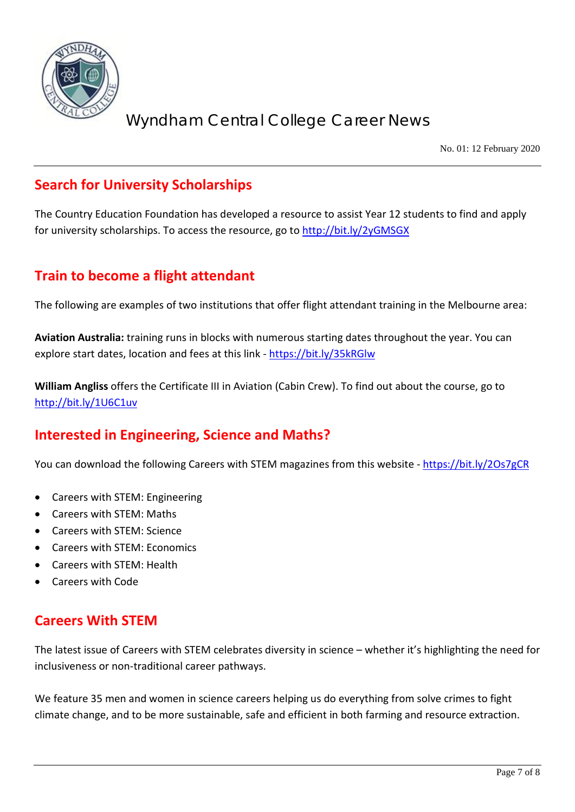

No. 01: 12 February 2020

## **Search for University Scholarships**

The Country Education Foundation has developed a resource to assist Year 12 students to find and apply for university scholarships. To access the resource, go to<http://bit.ly/2yGMSGX>

## **Train to become a flight attendant**

The following are examples of two institutions that offer flight attendant training in the Melbourne area:

**Aviation Australia:** training runs in blocks with numerous starting dates throughout the year. You can explore start dates, location and fees at this link - <https://bit.ly/35kRGlw>

**William Angliss** offers the Certificate III in Aviation (Cabin Crew). To find out about the course, go to <http://bit.ly/1U6C1uv>

## **Interested in Engineering, Science and Maths?**

You can download the following Careers with STEM magazines from this website - <https://bit.ly/2Os7gCR>

- Careers with STEM: Engineering
- Careers with STEM: Maths
- Careers with STEM: Science
- Careers with STEM: Economics
- Careers with STEM: Health
- Careers with Code

## **Careers With STEM**

The latest issue of Careers with STEM celebrates diversity in science – whether it's highlighting the need for inclusiveness or non-traditional career pathways.

We feature 35 men and women in science careers helping us do everything from solve crimes to fight climate change, and to be more sustainable, safe and efficient in both farming and resource extraction.